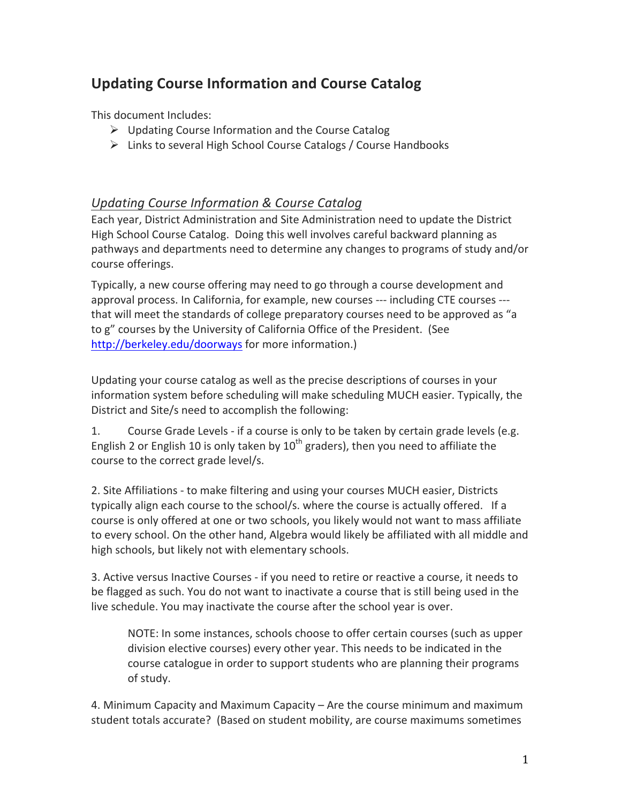# **Updating Course Information and Course Catalog**

This document Includes:

- $\triangleright$  Updating Course Information and the Course Catalog
- $\triangleright$  Links to several High School Course Catalogs / Course Handbooks

## *Updating Course Information & Course Catalog*

Each year, District Administration and Site Administration need to update the District High School Course Catalog. Doing this well involves careful backward planning as pathways and departments need to determine any changes to programs of study and/or course offerings.

Typically, a new course offering may need to go through a course development and approval process. In California, for example, new courses --- including CTE courses --that will meet the standards of college preparatory courses need to be approved as "a to g" courses by the University of California Office of the President. (See http://berkeley.edu/doorways for more information.)

Updating your course catalog as well as the precise descriptions of courses in your information system before scheduling will make scheduling MUCH easier. Typically, the District and Site/s need to accomplish the following:

1. Course Grade Levels - if a course is only to be taken by certain grade levels (e.g. English 2 or English 10 is only taken by  $10^{th}$  graders), then you need to affiliate the course to the correct grade level/s.

2. Site Affiliations - to make filtering and using your courses MUCH easier, Districts typically align each course to the school/s. where the course is actually offered. If a course is only offered at one or two schools, you likely would not want to mass affiliate to every school. On the other hand, Algebra would likely be affiliated with all middle and high schools, but likely not with elementary schools.

3. Active versus Inactive Courses - if you need to retire or reactive a course, it needs to be flagged as such. You do not want to inactivate a course that is still being used in the live schedule. You may inactivate the course after the school year is over.

NOTE: In some instances, schools choose to offer certain courses (such as upper division elective courses) every other year. This needs to be indicated in the course catalogue in order to support students who are planning their programs of study.

4. Minimum Capacity and Maximum Capacity – Are the course minimum and maximum student totals accurate? (Based on student mobility, are course maximums sometimes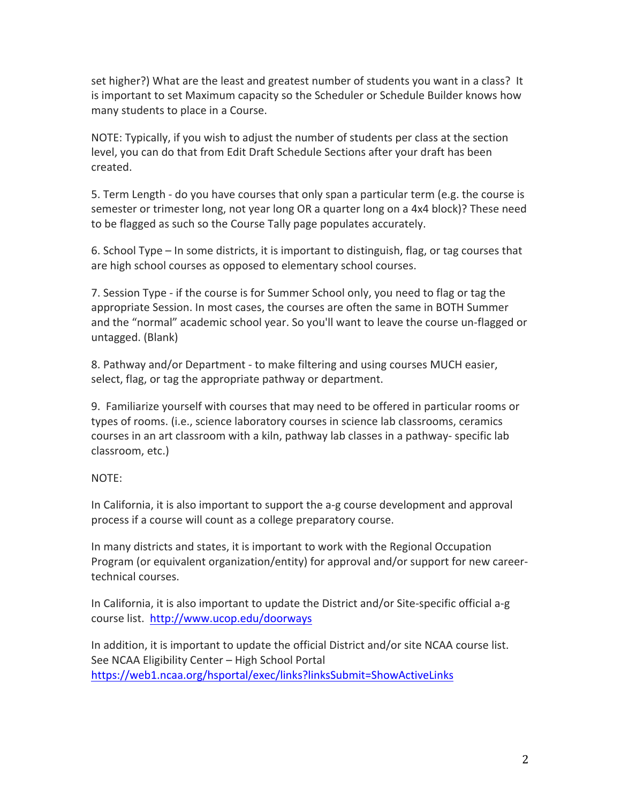set higher?) What are the least and greatest number of students you want in a class? It is important to set Maximum capacity so the Scheduler or Schedule Builder knows how many students to place in a Course.

NOTE: Typically, if you wish to adjust the number of students per class at the section level, you can do that from Edit Draft Schedule Sections after your draft has been created.

5. Term Length - do you have courses that only span a particular term (e.g. the course is semester or trimester long, not year long OR a quarter long on a 4x4 block)? These need to be flagged as such so the Course Tally page populates accurately.

6. School Type – In some districts, it is important to distinguish, flag, or tag courses that are high school courses as opposed to elementary school courses.

7. Session Type - if the course is for Summer School only, you need to flag or tag the appropriate Session. In most cases, the courses are often the same in BOTH Summer and the "normal" academic school year. So you'll want to leave the course un-flagged or untagged. (Blank)

8. Pathway and/or Department - to make filtering and using courses MUCH easier, select, flag, or tag the appropriate pathway or department.

9. Familiarize yourself with courses that may need to be offered in particular rooms or types of rooms. (i.e., science laboratory courses in science lab classrooms, ceramics courses in an art classroom with a kiln, pathway lab classes in a pathway- specific lab classroom, etc.)

### NOTE:

In California, it is also important to support the a-g course development and approval process if a course will count as a college preparatory course.

In many districts and states, it is important to work with the Regional Occupation Program (or equivalent organization/entity) for approval and/or support for new careertechnical courses.

In California, it is also important to update the District and/or Site-specific official a-g course list. http://www.ucop.edu/doorways

In addition, it is important to update the official District and/or site NCAA course list. See NCAA Eligibility Center – High School Portal https://web1.ncaa.org/hsportal/exec/links?linksSubmit=ShowActiveLinks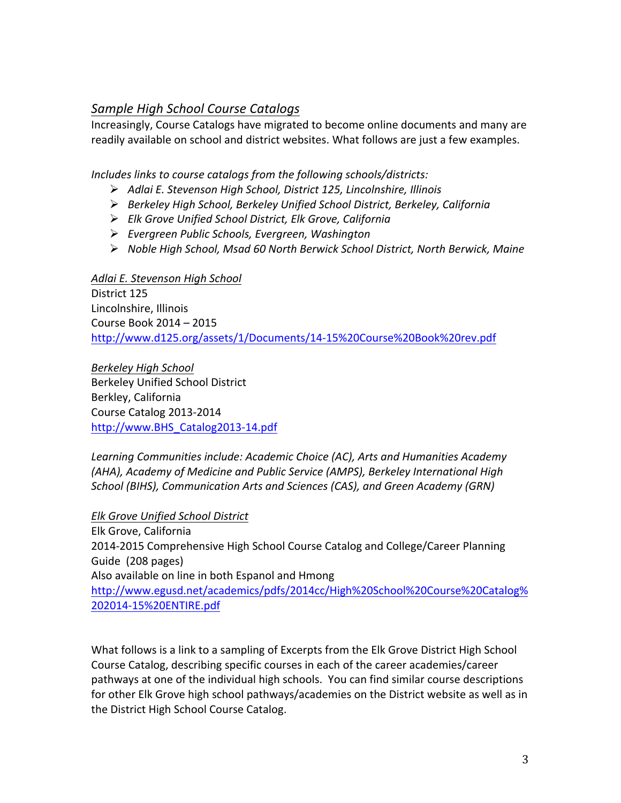### **Sample High School Course Catalogs**

Increasingly, Course Catalogs have migrated to become online documents and many are readily available on school and district websites. What follows are just a few examples.

Includes links to course catalogs from the following schools/districts:

- *Adlai)E.)Stevenson)High)School,)District)125,)Lincolnshire,)Illinois*
- *Berkeley)High)School,)Berkeley)Unified)School)District,)Berkeley,)California)*
- *Elk)Grove)Unified)School)District,)Elk)Grove,)California*
- *Evergreen)Public)Schools,)Evergreen,)Washington*
- *Noble)High)School,)Msad)60)North)Berwick)School)District,)North)Berwick,)Maine*

#### *Adlai)E.)Stevenson)High)School*

District 125 Lincolnshire, Illinois Course Book 2014 – 2015 http://www.d125.org/assets/1/Documents/14-15%20Course%20Book%20rev.pdf

**Berkeley High School** Berkeley Unified School District Berkley, California Course Catalog 2013-2014 http://www.BHS\_Catalog2013-14.pdf

Learning Communities include: Academic Choice (AC), Arts and Humanities Academy *(AHA), Academy of Medicine and Public Service (AMPS), Berkeley International High* School (BIHS), Communication Arts and Sciences (CAS), and Green Academy (GRN)

### **Elk Grove Unified School District**

Elk Grove, California 2014-2015 Comprehensive High School Course Catalog and College/Career Planning Guide (208 pages) Also available on line in both Espanol and Hmong http://www.egusd.net/academics/pdfs/2014cc/High%20School%20Course%20Catalog% 202014-15%20ENTIRE.pdf

What follows is a link to a sampling of Excerpts from the Elk Grove District High School Course Catalog, describing specific courses in each of the career academies/career pathways at one of the individual high schools. You can find similar course descriptions for other Elk Grove high school pathways/academies on the District website as well as in the District High School Course Catalog.